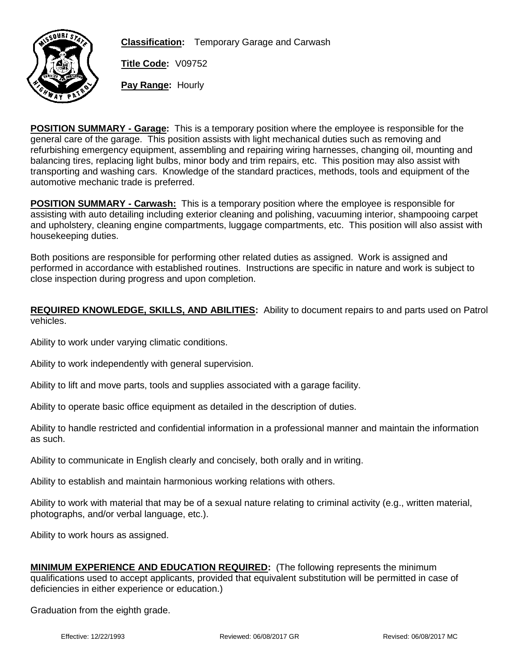

**Classification:** Temporary Garage and Carwash

**Title Code:** V09752

**Pay Range:** Hourly

**POSITION SUMMARY - Garage:** This is a temporary position where the employee is responsible for the general care of the garage. This position assists with light mechanical duties such as removing and refurbishing emergency equipment, assembling and repairing wiring harnesses, changing oil, mounting and balancing tires, replacing light bulbs, minor body and trim repairs, etc. This position may also assist with transporting and washing cars. Knowledge of the standard practices, methods, tools and equipment of the automotive mechanic trade is preferred.

**POSITION SUMMARY - Carwash:** This is a temporary position where the employee is responsible for assisting with auto detailing including exterior cleaning and polishing, vacuuming interior, shampooing carpet and upholstery, cleaning engine compartments, luggage compartments, etc. This position will also assist with housekeeping duties.

Both positions are responsible for performing other related duties as assigned. Work is assigned and performed in accordance with established routines. Instructions are specific in nature and work is subject to close inspection during progress and upon completion.

## **REQUIRED KNOWLEDGE, SKILLS, AND ABILITIES:** Ability to document repairs to and parts used on Patrol vehicles.

Ability to work under varying climatic conditions.

Ability to work independently with general supervision.

Ability to lift and move parts, tools and supplies associated with a garage facility.

Ability to operate basic office equipment as detailed in the description of duties.

Ability to handle restricted and confidential information in a professional manner and maintain the information as such.

Ability to communicate in English clearly and concisely, both orally and in writing.

Ability to establish and maintain harmonious working relations with others.

Ability to work with material that may be of a sexual nature relating to criminal activity (e.g., written material, photographs, and/or verbal language, etc.).

Ability to work hours as assigned.

| MINIMUM EXPERIENCE AND EDUCATION REQUIRED: (The following represents the minimum                             |
|--------------------------------------------------------------------------------------------------------------|
| qualifications used to accept applicants, provided that equivalent substitution will be permitted in case of |
| deficiencies in either experience or education.)                                                             |

Graduation from the eighth grade.